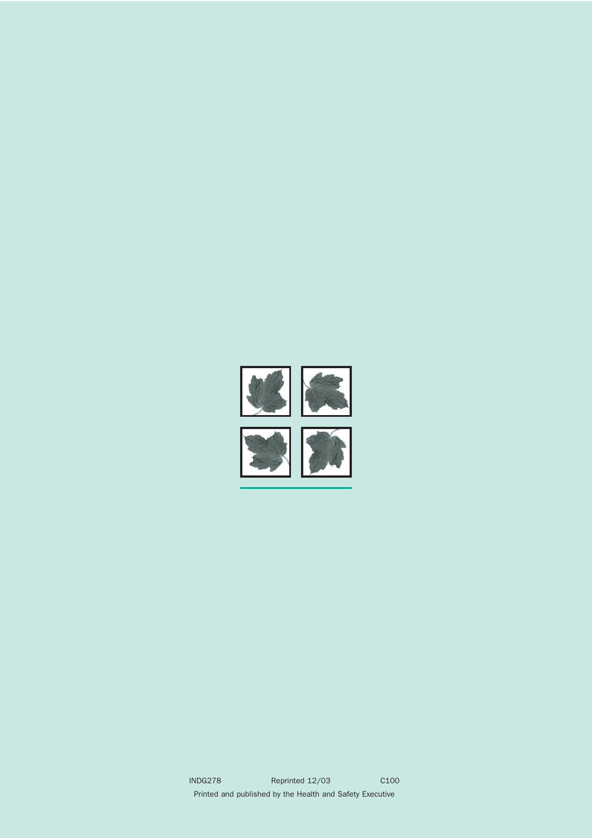



INDG278 Reprinted 12/03 C100 Printed and published by the Health and Safety Executive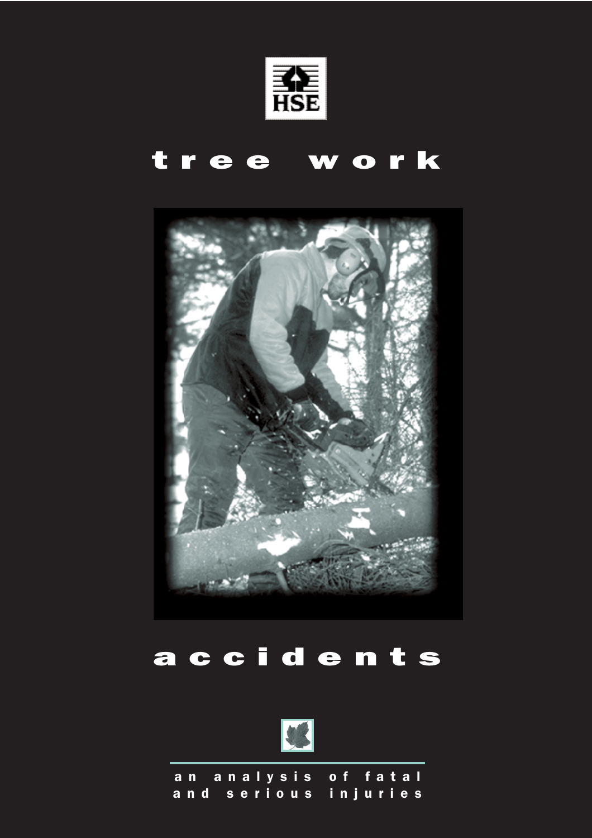

# tree work



# accidents



an analysis of fatal and serious injuries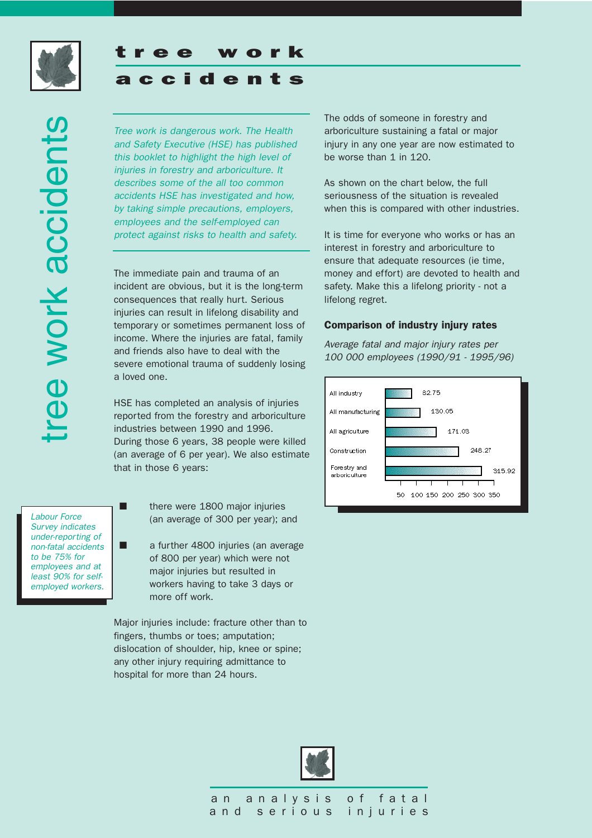

# ee work accidents tree work accidents

# accidents

ee work

*Tree work is dangerous work. The Health and Safety Executive (HSE) has published this booklet to highlight the high level of injuries in forestry and arboriculture. It describes some of the all too common accidents HSE has investigated and how, by taking simple precautions, employers, employees and the self-employed can protect against risks to health and safety.* 

The immediate pain and trauma of an incident are obvious, but it is the long-term consequences that really hurt. Serious injuries can result in lifelong disability and temporary or sometimes permanent loss of income. Where the injuries are fatal, family and friends also have to deal with the severe emotional trauma of suddenly losing a loved one.

HSE has completed an analysis of injuries reported from the forestry and arboriculture industries between 1990 and 1996. During those 6 years, 38 people were killed (an average of 6 per year). We also estimate that in those 6 years:

*Labour Force Survey indicates under-reporting of non-fatal accidents to be 75% for employees and at least 90% for selfemployed workers.*

- there were 1800 major injuries (an average of 300 per year); and
- a further 4800 injuries (an average of 800 per year) which were not major injuries but resulted in workers having to take 3 days or more off work.

Major injuries include: fracture other than to fingers, thumbs or toes; amputation; dislocation of shoulder, hip, knee or spine; any other injury requiring admittance to hospital for more than 24 hours.

The odds of someone in forestry and arboriculture sustaining a fatal or major injury in any one year are now estimated to be worse than 1 in 120.

As shown on the chart below, the full seriousness of the situation is revealed when this is compared with other industries.

It is time for everyone who works or has an interest in forestry and arboriculture to ensure that adequate resources (ie time, money and effort) are devoted to health and safety. Make this a lifelong priority - not a lifelong regret.

#### Comparison of industry injury rates

*Average fatal and major injury rates per 100 000 employees (1990/91 - 1995/96)*



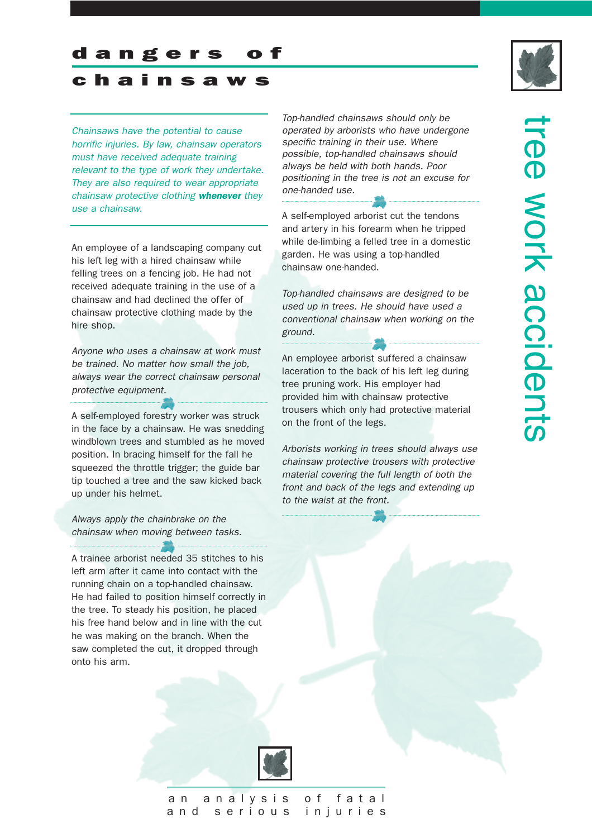#### dangers

## chainsaws

*Chainsaws have the potential to cause horrific injuries. By law, chainsaw operators must have received adequate training relevant to the type of work they undertake. They are also required to wear appropriate chainsaw protective clothing whenever they use a chainsaw.*

An employee of a landscaping company cut his left leg with a hired chainsaw while felling trees on a fencing job. He had not received adequate training in the use of a chainsaw and had declined the offer of chainsaw protective clothing made by the hire shop.

*Anyone who uses a chainsaw at work must be trained. No matter how small the job, always wear the correct chainsaw personal protective equipment.*

A self-employed forestry worker was struck in the face by a chainsaw. He was snedding windblown trees and stumbled as he moved position. In bracing himself for the fall he squeezed the throttle trigger; the guide bar tip touched a tree and the saw kicked back up under his helmet.

*Always apply the chainbrake on the chainsaw when moving between tasks.* 

A trainee arborist needed 35 stitches to his left arm after it came into contact with the running chain on a top-handled chainsaw. He had failed to position himself correctly in the tree. To steady his position, he placed his free hand below and in line with the cut he was making on the branch. When the saw completed the cut, it dropped through onto his arm.

*Top-handled chainsaws should only be operated by arborists who have undergone specific training in their use. Where possible, top-handled chainsaws should always be held with both hands. Poor positioning in the tree is not an excuse for one-handed use.* 

A self-employed arborist cut the tendons and artery in his forearm when he tripped while de-limbing a felled tree in a domestic garden. He was using a top-handled chainsaw one-handed.

*Top-handled chainsaws are designed to be used up in trees. He should have used a conventional chainsaw when working on the ground.*

An employee arborist suffered a chainsaw laceration to the back of his left leg during tree pruning work. His employer had provided him with chainsaw protective trousers which only had protective material on the front of the legs.

*Arborists working in trees should always use chainsaw protective trousers with protective material covering the full length of both the front and back of the legs and extending up to the waist at the front.*





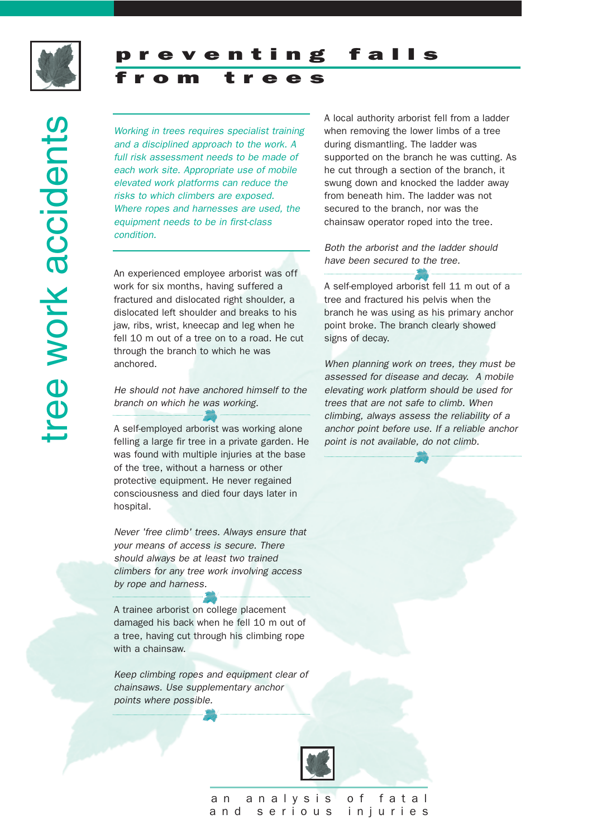

from trees

ree work accidents tree work accidents

*Working in trees requires specialist training and a disciplined approach to the work. A full risk assessment needs to be made of each work site. Appropriate use of mobile elevated work platforms can reduce the risks to which climbers are exposed. Where ropes and harnesses are used, the equipment needs to be in first-class condition.*

An experienced employee arborist was off work for six months, having suffered a fractured and dislocated right shoulder, a dislocated left shoulder and breaks to his jaw, ribs, wrist, kneecap and leg when he fell 10 m out of a tree on to a road. He cut through the branch to which he was anchored.

#### *He should not have anchored himself to the branch on which he was working.*

A self-employed arborist was working alone felling a large fir tree in a private garden. He was found with multiple injuries at the base of the tree, without a harness or other protective equipment. He never regained consciousness and died four days later in hospital.

*Never 'free climb' trees. Always ensure that your means of access is secure. There should always be at least two trained climbers for any tree work involving access by rope and harness.*

A trainee arborist on college placement damaged his back when he fell 10 m out of a tree, having cut through his climbing rope with a chainsaw.

*Keep climbing ropes and equipment clear of chainsaws. Use supplementary anchor points where possible.*



A local authority arborist fell from a ladder when removing the lower limbs of a tree during dismantling. The ladder was supported on the branch he was cutting. As he cut through a section of the branch, it swung down and knocked the ladder away from beneath him. The ladder was not secured to the branch, nor was the chainsaw operator roped into the tree.

*Both the arborist and the ladder should have been secured to the tree.*

A self-employed arborist fell 11 m out of a tree and fractured his pelvis when the branch he was using as his primary anchor point broke. The branch clearly showed signs of decay.

*When planning work on trees, they must be assessed for disease and decay. A mobile elevating work platform should be used for trees that are not safe to climb. When climbing, always assess the reliability of a anchor point before use. If a reliable anchor point is not available, do not climb.*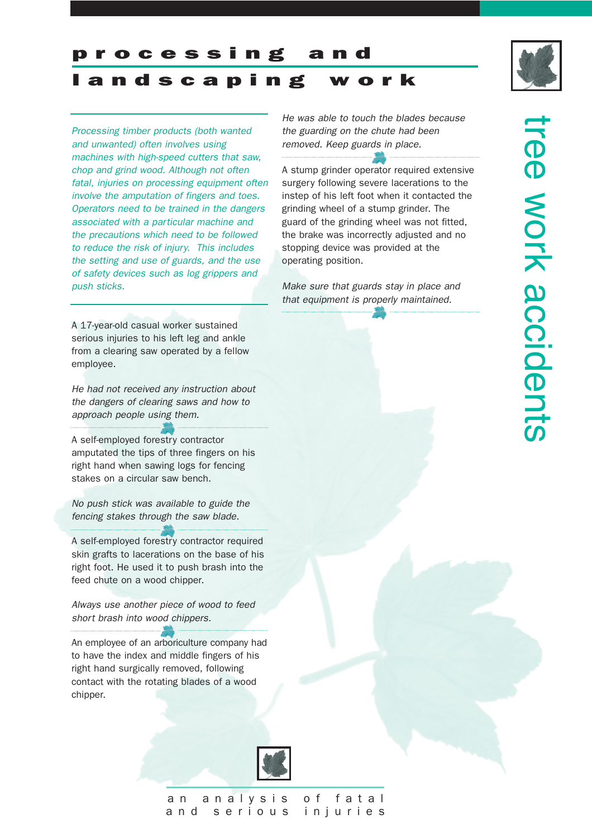processing



landscaping work

*Processing timber products (both wanted and unwanted) often involves using machines with high-speed cutters that saw, chop and grind wood. Although not often fatal, injuries on processing equipment often involve the amputation of fingers and toes. Operators need to be trained in the dangers associated with a particular machine and the precautions which need to be followed to reduce the risk of injury. This includes the setting and use of guards, and the use of safety devices such as log grippers and push sticks.*

A 17-year-old casual worker sustained serious injuries to his left leg and ankle from a clearing saw operated by a fellow employee.

*He had not received any instruction about the dangers of clearing saws and how to approach people using them.*

A self-employed forestry contractor amputated the tips of three fingers on his right hand when sawing logs for fencing stakes on a circular saw bench.

*No push stick was available to guide the fencing stakes through the saw blade.*

A self-employed forestry contractor required skin grafts to lacerations on the base of his right foot. He used it to push brash into the feed chute on a wood chipper.

*Always use another piece of wood to feed short brash into wood chippers.*

An employee of an arboriculture company had to have the index and middle fingers of his right hand surgically removed, following contact with the rotating blades of a wood chipper.



and serious injuries

*He was able to touch the blades because the guarding on the chute had been removed. Keep guards in place.*

A stump grinder operator required extensive surgery following severe lacerations to the instep of his left foot when it contacted the grinding wheel of a stump grinder. The guard of the grinding wheel was not fitted, the brake was incorrectly adjusted and no stopping device was provided at the operating position.

*Make sure that guards stay in place and that equipment is properly maintained.*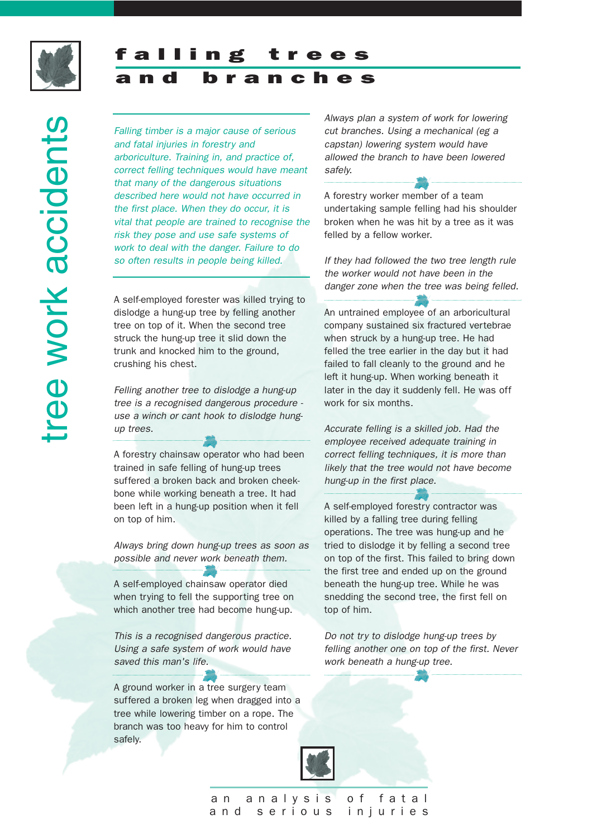

### falling and branches

*Falling timber is a major cause of serious and fatal injuries in forestry and arboriculture. Training in, and practice of, correct felling techniques would have meant that many of the dangerous situations described here would not have occurred in the first place. When they do occur, it is vital that people are trained to recognise the risk they pose and use safe systems of work to deal with the danger. Failure to do so often results in people being killed.*

A self-employed forester was killed trying to dislodge a hung-up tree by felling another tree on top of it. When the second tree struck the hung-up tree it slid down the trunk and knocked him to the ground, crushing his chest.

*Felling another tree to dislodge a hung-up tree is a recognised dangerous procedure use a winch or cant hook to dislodge hungup trees.* 

A forestry chainsaw operator who had been trained in safe felling of hung-up trees suffered a broken back and broken cheekbone while working beneath a tree. It had been left in a hung-up position when it fell on top of him.

*Always bring down hung-up trees as soon as possible and never work beneath them.* 

A self-employed chainsaw operator died when trying to fell the supporting tree on which another tree had become hung-up.

*This is a recognised dangerous practice. Using a safe system of work would have saved this man's life.*

A ground worker in a tree surgery team suffered a broken leg when dragged into a tree while lowering timber on a rope. The branch was too heavy for him to control safely.

*Always plan a system of work for lowering cut branches. Using a mechanical (eg a capstan) lowering system would have allowed the branch to have been lowered safely.*

A forestry worker member of a team undertaking sample felling had his shoulder broken when he was hit by a tree as it was felled by a fellow worker.

*If they had followed the two tree length rule the worker would not have been in the danger zone when the tree was being felled.*

An untrained employee of an arboricultural company sustained six fractured vertebrae when struck by a hung-up tree. He had felled the tree earlier in the day but it had failed to fall cleanly to the ground and he left it hung-up. When working beneath it later in the day it suddenly fell. He was off work for six months.

*Accurate felling is a skilled job. Had the employee received adequate training in correct felling techniques, it is more than likely that the tree would not have become hung-up in the first place.*

A self-employed forestry contractor was killed by a falling tree during felling operations. The tree was hung-up and he tried to dislodge it by felling a second tree on top of the first. This failed to bring down the first tree and ended up on the ground beneath the hung-up tree. While he was snedding the second tree, the first fell on top of him.

*Do not try to dislodge hung-up trees by felling another one on top of the first. Never work beneath a hung-up tree.*

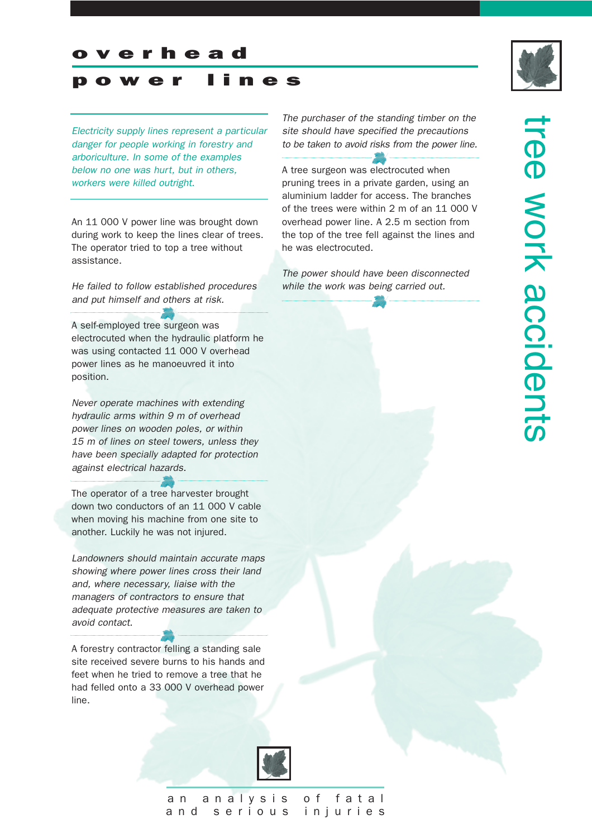#### overhead

#### power lines

*Electricity supply lines represent a particular danger for people working in forestry and arboriculture. In some of the examples below no one was hurt, but in others, workers were killed outright.*

An 11 000 V power line was brought down during work to keep the lines clear of trees. The operator tried to top a tree without assistance.

*He failed to follow established procedures and put himself and others at risk.*

A self-employed tree surgeon was electrocuted when the hydraulic platform he was using contacted 11 000 V overhead power lines as he manoeuvred it into position.

*Never operate machines with extending hydraulic arms within 9 m of overhead power lines on wooden poles, or within 15 m of lines on steel towers, unless they have been specially adapted for protection against electrical hazards.*

The operator of a tree harvester brought down two conductors of an 11 000 V cable when moving his machine from one site to another. Luckily he was not injured.

*Landowners should maintain accurate maps showing where power lines cross their land and, where necessary, liaise with the managers of contractors to ensure that adequate protective measures are taken to avoid contact.*

A forestry contractor felling a standing sale site received severe burns to his hands and feet when he tried to remove a tree that he had felled onto a 33 000 V overhead power line.





A tree surgeon was electrocuted when pruning trees in a private garden, using an aluminium ladder for access. The branches of the trees were within 2 m of an 11 000 V overhead power line. A 2.5 m section from the top of the tree fell against the lines and he was electrocuted.

*The power should have been disconnected while the work was being carried out.*

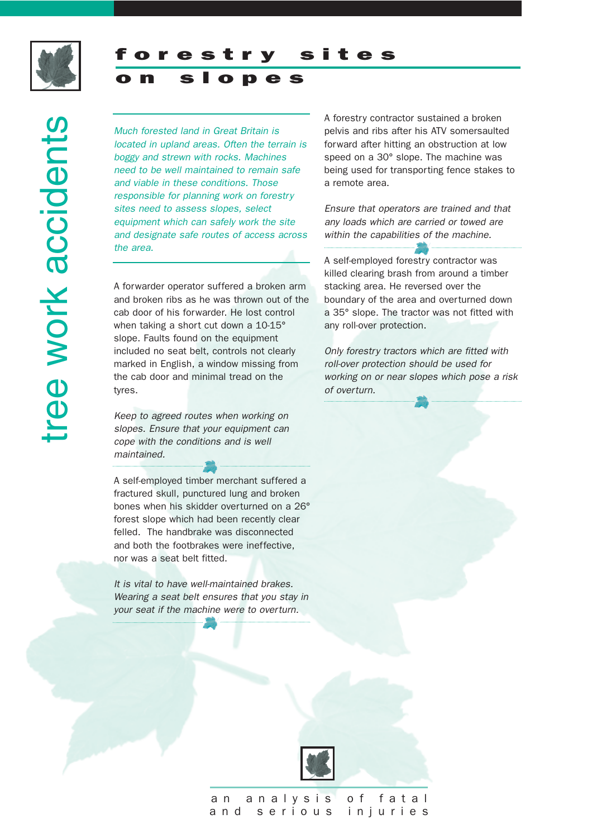

slopes

*Much forested land in Great Britain is located in upland areas. Often the terrain is boggy and strewn with rocks. Machines need to be well maintained to remain safe and viable in these conditions. Those responsible for planning work on forestry sites need to assess slopes, select equipment which can safely work the site and designate safe routes of access across the area.*

A forwarder operator suffered a broken arm and broken ribs as he was thrown out of the cab door of his forwarder. He lost control when taking a short cut down a 10-15° slope. Faults found on the equipment included no seat belt, controls not clearly marked in English, a window missing from the cab door and minimal tread on the tyres.

*Keep to agreed routes when working on slopes. Ensure that your equipment can cope with the conditions and is well maintained.*

A self-employed timber merchant suffered a fractured skull, punctured lung and broken bones when his skidder overturned on a 26° forest slope which had been recently clear felled. The handbrake was disconnected and both the footbrakes were ineffective, nor was a seat belt fitted.

*It is vital to have well-maintained brakes. Wearing a seat belt ensures that you stay in your seat if the machine were to overturn.*

A forestry contractor sustained a broken pelvis and ribs after his ATV somersaulted forward after hitting an obstruction at low speed on a 30° slope. The machine was being used for transporting fence stakes to a remote area.

*Ensure that operators are trained and that any loads which are carried or towed are within the capabilities of the machine.*

A self-employed forestry contractor was killed clearing brash from around a timber stacking area. He reversed over the boundary of the area and overturned down a 35° slope. The tractor was not fitted with any roll-over protection.

*Only forestry tractors which are fitted with roll-over protection should be used for working on or near slopes which pose a risk of overturn.*

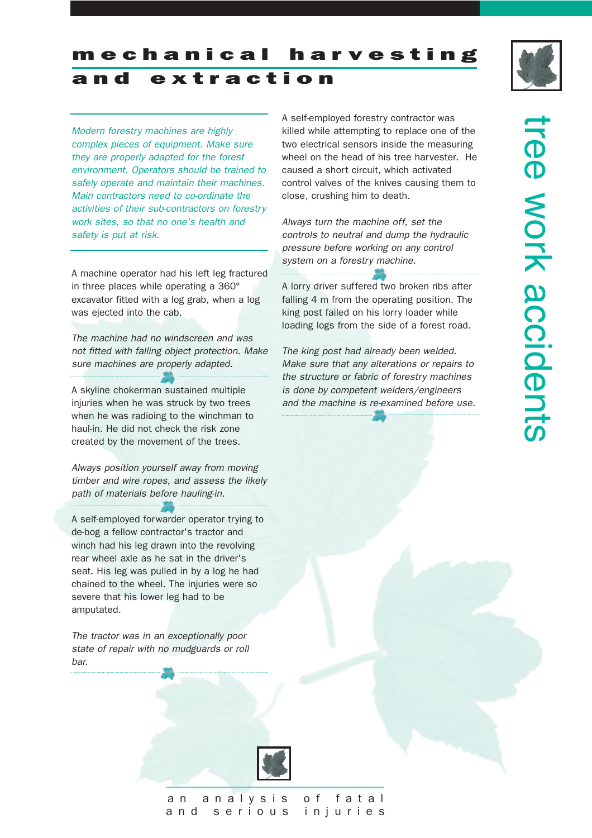

mechanical harvesting and extraction

*Modern forestry machines are highly complex pieces of equipment. Make sure they are properly adapted for the forest environment. Operators should be trained to safely operate and maintain their machines. Main contractors need to co-ordinate the activities of their sub-contractors on forestry work sites, so that no one's health and safety is put at risk.* 

A machine operator had his left leg fractured in three places while operating a 360° excavator fitted with a log grab, when a log was ejected into the cab.

*The machine had no windscreen and was not fitted with falling object protection. Make sure machines are properly adapted.*

A skyline chokerman sustained multiple injuries when he was struck by two trees when he was radioing to the winchman to haul-in. He did not check the risk zone created by the movement of the trees.

*Always position yourself away from moving timber and wire ropes, and assess the likely path of materials before hauling-in.*

A self-employed forwarder operator trying to de-bog a fellow contractor's tractor and winch had his leg drawn into the revolving rear wheel axle as he sat in the driver's seat. His leg was pulled in by a log he had chained to the wheel. The injuries were so severe that his lower leg had to be amputated.

*The tractor was in an exceptionally poor state of repair with no mudguards or roll bar.* 

A self-employed forestry contractor was killed while attempting to replace one of the two electrical sensors inside the measuring wheel on the head of his tree harvester. He caused a short circuit, which activated control valves of the knives causing them to close, crushing him to death.

*Always turn the machine off, set the controls to neutral and dump the hydraulic pressure before working on any control system on a forestry machine.*

A lorry driver suffered two broken ribs after falling 4 m from the operating position. The king post failed on his lorry loader while loading logs from the side of a forest road.

*The king post had already been welded. Make sure that any alterations or repairs to the structure or fabric of forestry machines is done by competent welders/engineers and the machine is re-examined before use.* 

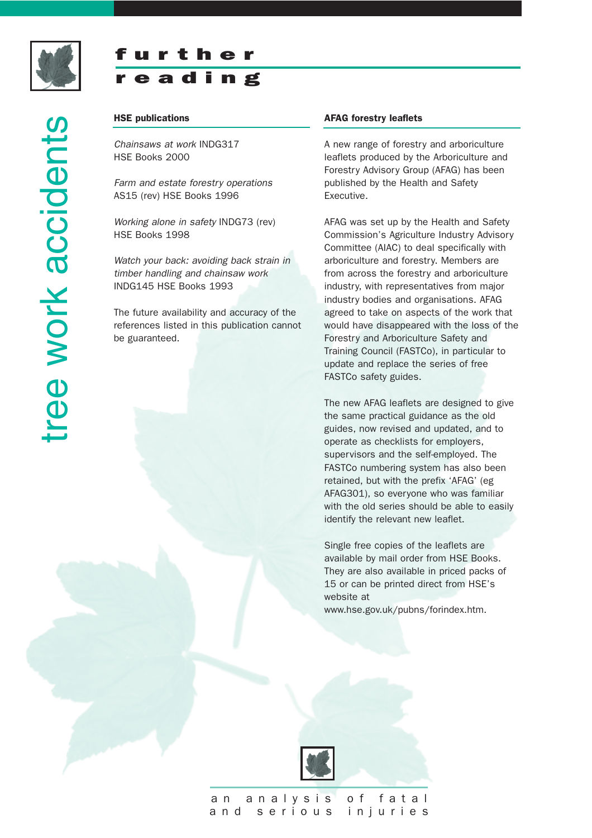

tree work accidents

ree work accidents

## further r eading

#### HSE publications

*Chainsaws at work* INDG317 HSE Books 2000

*Farm and estate forestry operations*  AS15 (rev) HSE Books 1996

*Working alone in safety* INDG73 (rev) HSE Books 1998

*Watch your back: avoiding back strain in timber handling and chainsaw work* INDG145 HSE Books 1993

The future availability and accuracy of the references listed in this publication cannot be guaranteed.

#### AFAG forestry leaflets

A new range of forestry and arboriculture leaflets produced by the Arboriculture and Forestry Advisory Group (AFAG) has been published by the Health and Safety Executive.

AFAG was set up by the Health and Safety Commission's Agriculture Industry Advisory Committee (AIAC) to deal specifically with arboriculture and forestry. Members are from across the forestry and arboriculture industry, with representatives from major industry bodies and organisations. AFAG agreed to take on aspects of the work that would have disappeared with the loss of the Forestry and Arboriculture Safety and Training Council (FASTCo), in particular to update and replace the series of free FASTCo safety guides.

The new AFAG leaflets are designed to give the same practical guidance as the old guides, now revised and updated, and to operate as checklists for employers, supervisors and the self-employed. The FASTCo numbering system has also been retained, but with the prefix 'AFAG' (eg AFAG301), so everyone who was familiar with the old series should be able to easily identify the relevant new leaflet.

Single free copies of the leaflets are available by mail order from HSE Books. They are also available in priced packs of 15 or can be printed direct from HSE's website at www.hse.gov.uk/pubns/forindex.htm.